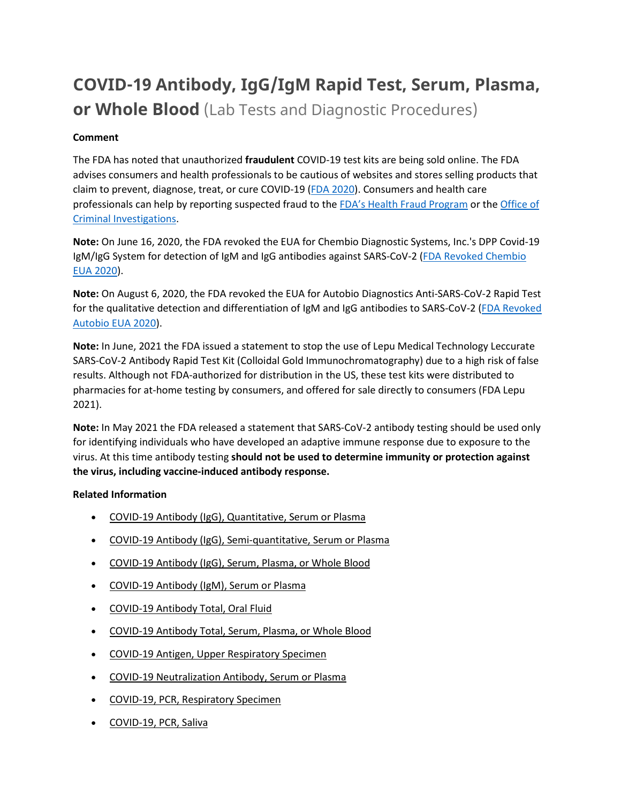# **COVID-19 Antibody, IgG/IgM Rapid Test, Serum, Plasma, or Whole Blood** (Lab Tests and Diagnostic Procedures)

# **Comment**

The FDA has noted that unauthorized **fraudulent** COVID-19 test kits are being sold online. The FDA advises consumers and health professionals to be cautious of websites and stores selling products that claim to prevent, diagnose, treat, or cure COVID-19 [\(FDA 2020\)](https://www.fda.gov/consumers/consumer-updates/beware-fraudulent-coronavirus-tests-vaccines-and-treatments?utm_campaign=FDA%20MedWatch%20-%20Fraudulent%20Coronavirus%20Tests%2C%20Vaccines%20and%20Treatments&utm_medium=email&utm_source=Eloqua). Consumers and health care professionals can help by reporting suspected fraud to the [FDA's Health Fraud Program](https://www.fda.gov/safety/report-problem-fda/reporting-unlawful-sales-medical-products-internet) or the [Office of](https://www.accessdata.fda.gov/scripts/email/oc/oci/contact.cfm)  [Criminal Investigations.](https://www.accessdata.fda.gov/scripts/email/oc/oci/contact.cfm)

**Note:** On June 16, 2020, the FDA revoked the EUA for Chembio Diagnostic Systems, Inc.'s DPP Covid-19 IgM/IgG System for detection of IgM and IgG antibodies against SARS-CoV-2 [\(FDA Revoked Chembio](https://www.fda.gov/media/139109/download)  [EUA 2020\)](https://www.fda.gov/media/139109/download).

**Note:** On August 6, 2020, the FDA revoked the EUA for Autobio Diagnostics Anti-SARS-CoV-2 Rapid Test for the qualitative detection and differentiation of IgM and IgG antibodies to SARS-CoV-2 [\(FDA Revoked](https://www.fda.gov/media/140908/download)  [Autobio EUA 2020\)](https://www.fda.gov/media/140908/download).

**Note:** In June, 2021 the FDA issued a statement to stop the use of Lepu Medical Technology Leccurate SARS-CoV-2 Antibody Rapid Test Kit (Colloidal Gold Immunochromatography) due to a high risk of false results. Although not FDA-authorized for distribution in the US, these test kits were distributed to pharmacies for at-home testing by consumers, and offered for sale directly to consumers (FDA Lepu 2021).

**Note:** In May 2021 the FDA released a statement that SARS-CoV-2 antibody testing should be used only for identifying individuals who have developed an adaptive immune response due to exposure to the virus. At this time antibody testing **should not be used to determine immunity or protection against the virus, including vaccine-induced antibody response.**

## **Related Information**

- [COVID-19 Antibody \(IgG\), Quantitative, Serum or Plasma](https://online.lexi.com/lco/action/doc/retrieve/docid/lthdph/7121093)
- [COVID-19 Antibody \(IgG\), Semi-quantitative, Serum or Plasma](https://online.lexi.com/lco/action/doc/retrieve/docid/lthdph/7077895)
- [COVID-19 Antibody \(IgG\), Serum, Plasma, or Whole Blood](https://online.lexi.com/lco/action/doc/retrieve/docid/lthdph/6940954)
- [COVID-19 Antibody \(IgM\), Serum or Plasma](https://online.lexi.com/lco/action/doc/retrieve/docid/lthdph/7150051)
- [COVID-19 Antibody Total, Oral Fluid](https://online.lexi.com/lco/action/doc/retrieve/docid/lthdph/7111648)
- [COVID-19 Antibody Total, Serum, Plasma, or Whole Blood](https://online.lexi.com/lco/action/doc/retrieve/docid/lthdph/6946612)
- [COVID-19 Antigen, Upper Respiratory Specimen](https://online.lexi.com/lco/action/doc/retrieve/docid/lthdph/6947693)
- [COVID-19 Neutralization Antibody, Serum or Plasma](https://online.lexi.com/lco/action/doc/retrieve/docid/lthdph/7011669)
- [COVID-19, PCR, Respiratory Specimen](https://online.lexi.com/lco/action/doc/retrieve/docid/lthdph/6920837)
- [COVID-19, PCR, Saliva](https://online.lexi.com/lco/action/doc/retrieve/docid/lthdph/6958856)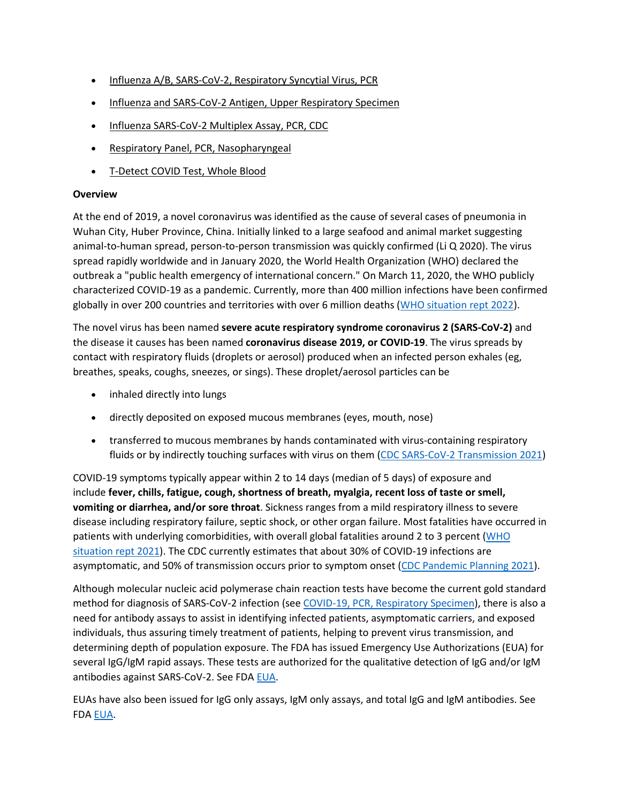- [Influenza A/B, SARS-CoV-2, Respiratory Syncytial Virus, PCR](https://online.lexi.com/lco/action/doc/retrieve/docid/lthdph/7128794)
- [Influenza and SARS-CoV-2 Antigen, Upper Respiratory Specimen](https://online.lexi.com/lco/action/doc/retrieve/docid/lthdph/7063859)
- [Influenza SARS-CoV-2 Multiplex Assay, PCR, CDC](https://online.lexi.com/lco/action/doc/retrieve/docid/lthdph/6990707)
- [Respiratory Panel, PCR, Nasopharyngeal](https://online.lexi.com/lco/action/doc/retrieve/docid/lthdph/7106510)
- [T-Detect COVID Test, Whole Blood](https://online.lexi.com/lco/action/doc/retrieve/docid/lthdph/7145964)

# **Overview**

At the end of 2019, a novel coronavirus was identified as the cause of several cases of pneumonia in Wuhan City, Huber Province, China. Initially linked to a large seafood and animal market suggesting animal-to-human spread, person-to-person transmission was quickly confirmed (Li Q 2020). The virus spread rapidly worldwide and in January 2020, the World Health Organization (WHO) declared the outbreak a "public health emergency of international concern." On March 11, 2020, the WHO publicly characterized COVID-19 as a pandemic. Currently, more than 400 million infections have been confirmed globally in over 200 countries and territories with over 6 million deaths [\(WHO situation rept 2022\)](https://www.who.int/emergencies/diseases/novel-coronavirus-2019/situation-reports).

The novel virus has been named **severe acute respiratory syndrome coronavirus 2 (SARS-CoV-2)** and the disease it causes has been named **coronavirus disease 2019, or COVID-19**. The virus spreads by contact with respiratory fluids (droplets or aerosol) produced when an infected person exhales (eg, breathes, speaks, coughs, sneezes, or sings). These droplet/aerosol particles can be

- inhaled directly into lungs
- directly deposited on exposed mucous membranes (eyes, mouth, nose)
- transferred to mucous membranes by hands contaminated with virus-containing respiratory fluids or by indirectly touching surfaces with virus on them [\(CDC SARS-CoV-2 Transmission 2021\)](https://www.cdc.gov/coronavirus/2019-ncov/science/science-briefs/sars-cov-2-transmission.html)

COVID-19 symptoms typically appear within 2 to 14 days (median of 5 days) of exposure and include **fever, chills, fatigue, cough, shortness of breath, myalgia, recent loss of taste or smell, vomiting or diarrhea, and/or sore throat**. Sickness ranges from a mild respiratory illness to severe disease including respiratory failure, septic shock, or other organ failure. Most fatalities have occurred in patients with underlying comorbidities, with overall global fatalities around 2 to 3 percent [\(WHO](https://www.who.int/emergencies/diseases/novel-coronavirus-2019/situation-reports)  [situation rept 2021\)](https://www.who.int/emergencies/diseases/novel-coronavirus-2019/situation-reports). The CDC currently estimates that about 30% of COVID-19 infections are asymptomatic, and 50% of transmission occurs prior to symptom onset [\(CDC Pandemic Planning 2021\)](https://www.cdc.gov/coronavirus/2019-ncov/hcp/planning-scenarios.html).

Although molecular nucleic acid polymerase chain reaction tests have become the current gold standard method for diagnosis of SARS-CoV-2 infection (see [COVID-19, PCR, Respiratory Specimen\)](https://online.lexi.com/lco/action/search/globalid/869331), there is also a need for antibody assays to assist in identifying infected patients, asymptomatic carriers, and exposed individuals, thus assuring timely treatment of patients, helping to prevent virus transmission, and determining depth of population exposure. The FDA has issued Emergency Use Authorizations (EUA) for several IgG/IgM rapid assays. These tests are authorized for the qualitative detection of IgG and/or IgM antibodies against SARS-CoV-2. See FDA [EUA.](https://www.fda.gov/medical-devices/coronavirus-disease-2019-covid-19-emergency-use-authorizations-medical-devices/vitro-diagnostics-euas)

EUAs have also been issued for IgG only assays, IgM only assays, and total IgG and IgM antibodies. See FDA [EUA.](https://www.fda.gov/medical-devices/coronavirus-disease-2019-covid-19-emergency-use-authorizations-medical-devices/vitro-diagnostics-euas)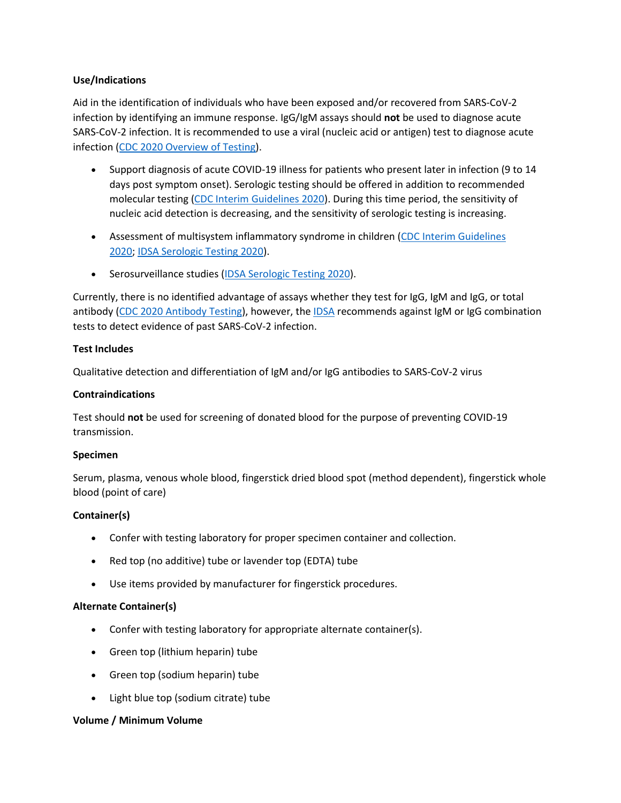## **Use/Indications**

Aid in the identification of individuals who have been exposed and/or recovered from SARS-CoV-2 infection by identifying an immune response. IgG/IgM assays should **not** be used to diagnose acute SARS-CoV-2 infection. It is recommended to use a viral (nucleic acid or antigen) test to diagnose acute infection [\(CDC 2020 Overview of Testing\)](https://www.cdc.gov/coronavirus/2019-ncov/hcp/testing-overview.html).

- Support diagnosis of acute COVID-19 illness for patients who present later in infection (9 to 14 days post symptom onset). Serologic testing should be offered in addition to recommended molecular testing [\(CDC Interim Guidelines 2020\)](https://www.cdc.gov/coronavirus/2019-ncov/lab/resources/antibody-tests-guidelines.html). During this time period, the sensitivity of nucleic acid detection is decreasing, and the sensitivity of serologic testing is increasing.
- Assessment of multisystem inflammatory syndrome in children (CDC Interim Guidelines [2020;](https://www.cdc.gov/coronavirus/2019-ncov/lab/resources/antibody-tests-guidelines.html) [IDSA Serologic Testing 2020\)](https://www.idsociety.org/practice-guideline/covid-19-guideline-serology/).
- Serosurveillance studies [\(IDSA Serologic Testing 2020\)](https://www.idsociety.org/practice-guideline/covid-19-guideline-serology/).

Currently, there is no identified advantage of assays whether they test for IgG, IgM and IgG, or total antibody [\(CDC 2020 Antibody Testing\)](https://www.cdc.gov/coronavirus/2019-ncov/lab/resources/antibody-tests-guidelines.html), however, the [IDSA](https://www.idsociety.org/practice-guideline/covid-19-guideline-serology/) recommends against IgM or IgG combination tests to detect evidence of past SARS-CoV-2 infection.

## **Test Includes**

Qualitative detection and differentiation of IgM and/or IgG antibodies to SARS-CoV-2 virus

## **Contraindications**

Test should **not** be used for screening of donated blood for the purpose of preventing COVID-19 transmission.

## **Specimen**

Serum, plasma, venous whole blood, fingerstick dried blood spot (method dependent), fingerstick whole blood (point of care)

# **Container(s)**

- Confer with testing laboratory for proper specimen container and collection.
- Red top (no additive) tube or lavender top (EDTA) tube
- Use items provided by manufacturer for fingerstick procedures.

## **Alternate Container(s)**

- Confer with testing laboratory for appropriate alternate container(s).
- Green top (lithium heparin) tube
- Green top (sodium heparin) tube
- Light blue top (sodium citrate) tube

## **Volume / Minimum Volume**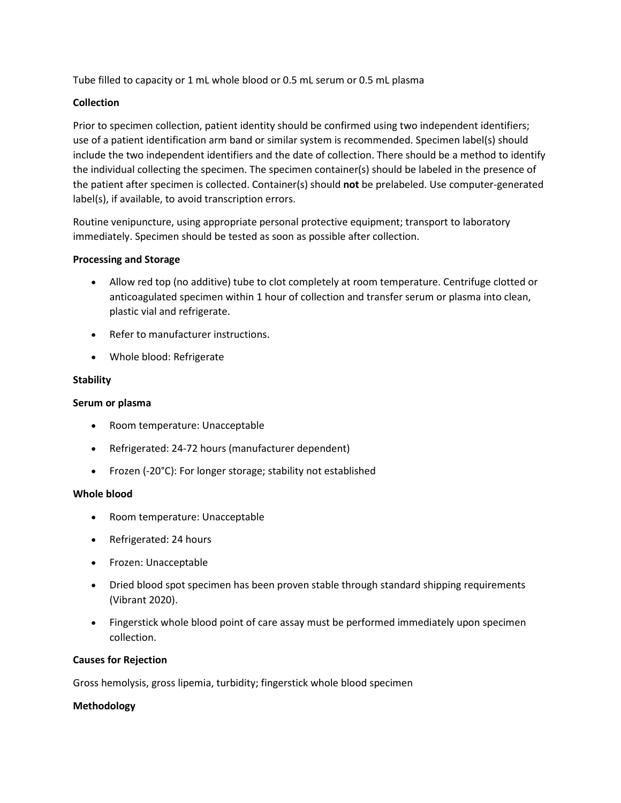Tube filled to capacity or 1 mL whole blood or 0.5 mL serum or 0.5 mL plasma

### **Collection**

Prior to specimen collection, patient identity should be confirmed using two independent identifiers; use of a patient identification arm band or similar system is recommended. Specimen label(s) should include the two independent identifiers and the date of collection. There should be a method to identify the individual collecting the specimen. The specimen container(s) should be labeled in the presence of the patient after specimen is collected. Container(s) should **not** be prelabeled. Use computer-generated label(s), if available, to avoid transcription errors.

Routine venipuncture, using appropriate personal protective equipment; transport to laboratory immediately. Specimen should be tested as soon as possible after collection.

#### **Processing and Storage**

- Allow red top (no additive) tube to clot completely at room temperature. Centrifuge clotted or anticoagulated specimen within 1 hour of collection and transfer serum or plasma into clean, plastic vial and refrigerate.
- Refer to manufacturer instructions.
- Whole blood: Refrigerate

## **Stability**

#### **Serum or plasma**

- Room temperature: Unacceptable
- Refrigerated: 24-72 hours (manufacturer dependent)
- Frozen (-20°C): For longer storage; stability not established

#### **Whole blood**

- Room temperature: Unacceptable
- Refrigerated: 24 hours
- Frozen: Unacceptable
- Dried blood spot specimen has been proven stable through standard shipping requirements (Vibrant 2020).
- Fingerstick whole blood point of care assay must be performed immediately upon specimen collection.

## **Causes for Rejection**

Gross hemolysis, gross lipemia, turbidity; fingerstick whole blood specimen

## **Methodology**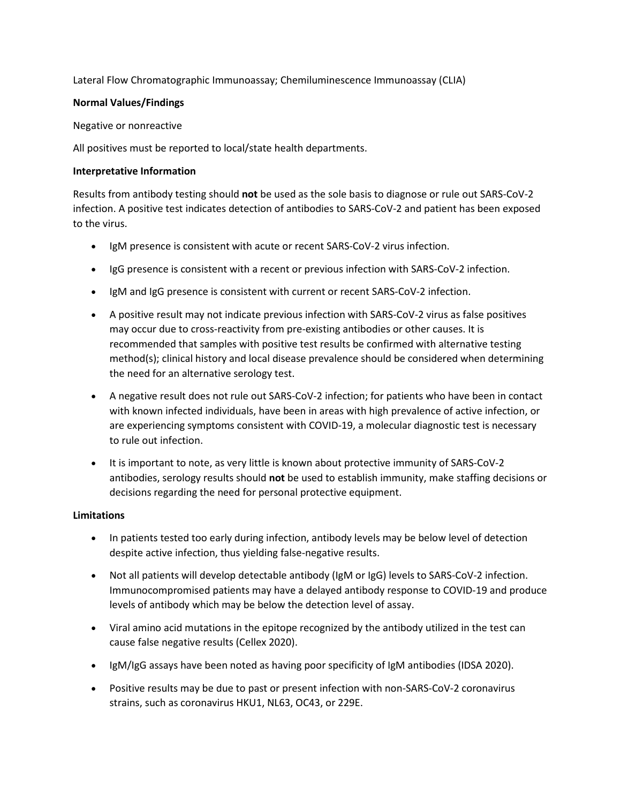Lateral Flow Chromatographic Immunoassay; Chemiluminescence Immunoassay (CLIA)

## **Normal Values/Findings**

Negative or nonreactive

All positives must be reported to local/state health departments.

# **Interpretative Information**

Results from antibody testing should **not** be used as the sole basis to diagnose or rule out SARS-CoV-2 infection. A positive test indicates detection of antibodies to SARS-CoV-2 and patient has been exposed to the virus.

- IgM presence is consistent with acute or recent SARS-CoV-2 virus infection.
- IgG presence is consistent with a recent or previous infection with SARS-CoV-2 infection.
- IgM and IgG presence is consistent with current or recent SARS-CoV-2 infection.
- A positive result may not indicate previous infection with SARS-CoV-2 virus as false positives may occur due to cross-reactivity from pre-existing antibodies or other causes. It is recommended that samples with positive test results be confirmed with alternative testing method(s); clinical history and local disease prevalence should be considered when determining the need for an alternative serology test.
- A negative result does not rule out SARS-CoV-2 infection; for patients who have been in contact with known infected individuals, have been in areas with high prevalence of active infection, or are experiencing symptoms consistent with COVID-19, a molecular diagnostic test is necessary to rule out infection.
- It is important to note, as very little is known about protective immunity of SARS-CoV-2 antibodies, serology results should **not** be used to establish immunity, make staffing decisions or decisions regarding the need for personal protective equipment.

# **Limitations**

- In patients tested too early during infection, antibody levels may be below level of detection despite active infection, thus yielding false-negative results.
- Not all patients will develop detectable antibody (IgM or IgG) levels to SARS-CoV-2 infection. Immunocompromised patients may have a delayed antibody response to COVID-19 and produce levels of antibody which may be below the detection level of assay.
- Viral amino acid mutations in the epitope recognized by the antibody utilized in the test can cause false negative results (Cellex 2020).
- IgM/IgG assays have been noted as having poor specificity of IgM antibodies (IDSA 2020).
- Positive results may be due to past or present infection with non-SARS-CoV-2 coronavirus strains, such as coronavirus HKU1, NL63, OC43, or 229E.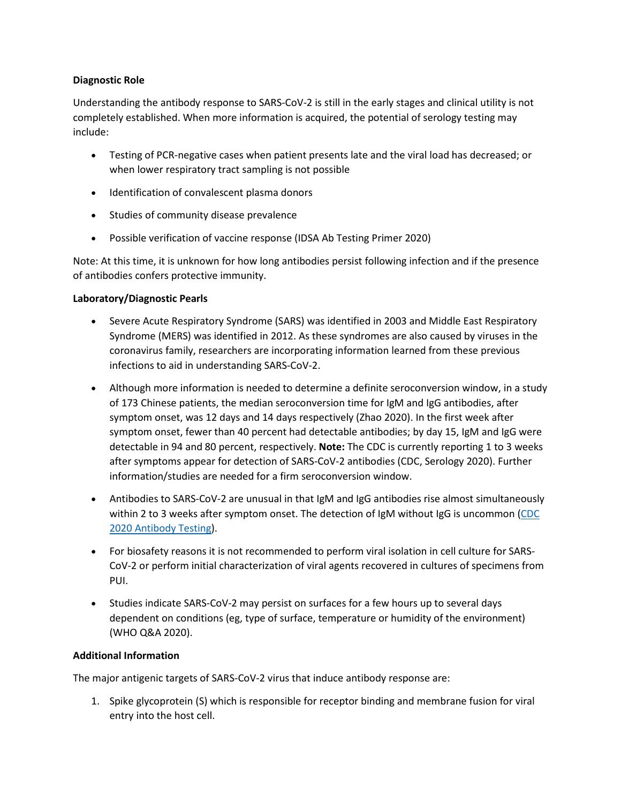## **Diagnostic Role**

Understanding the antibody response to SARS-CoV-2 is still in the early stages and clinical utility is not completely established. When more information is acquired, the potential of serology testing may include:

- Testing of PCR-negative cases when patient presents late and the viral load has decreased; or when lower respiratory tract sampling is not possible
- Identification of convalescent plasma donors
- Studies of community disease prevalence
- Possible verification of vaccine response (IDSA Ab Testing Primer 2020)

Note: At this time, it is unknown for how long antibodies persist following infection and if the presence of antibodies confers protective immunity.

# **Laboratory/Diagnostic Pearls**

- Severe Acute Respiratory Syndrome (SARS) was identified in 2003 and Middle East Respiratory Syndrome (MERS) was identified in 2012. As these syndromes are also caused by viruses in the coronavirus family, researchers are incorporating information learned from these previous infections to aid in understanding SARS-CoV-2.
- Although more information is needed to determine a definite seroconversion window, in a study of 173 Chinese patients, the median seroconversion time for IgM and IgG antibodies, after symptom onset, was 12 days and 14 days respectively (Zhao 2020). In the first week after symptom onset, fewer than 40 percent had detectable antibodies; by day 15, IgM and IgG were detectable in 94 and 80 percent, respectively. **Note:** The CDC is currently reporting 1 to 3 weeks after symptoms appear for detection of SARS-CoV-2 antibodies (CDC, Serology 2020). Further information/studies are needed for a firm seroconversion window.
- Antibodies to SARS-CoV-2 are unusual in that IgM and IgG antibodies rise almost simultaneously within 2 to 3 weeks after symptom onset. The detection of IgM without IgG is uncommon [\(CDC](https://www.cdc.gov/coronavirus/2019-ncov/lab/resources/antibody-tests-guidelines.html)  [2020 Antibody Testing\)](https://www.cdc.gov/coronavirus/2019-ncov/lab/resources/antibody-tests-guidelines.html).
- For biosafety reasons it is not recommended to perform viral isolation in cell culture for SARS-CoV-2 or perform initial characterization of viral agents recovered in cultures of specimens from PUI.
- Studies indicate SARS-CoV-2 may persist on surfaces for a few hours up to several days dependent on conditions (eg, type of surface, temperature or humidity of the environment) (WHO Q&A 2020).

# **Additional Information**

The major antigenic targets of SARS-CoV-2 virus that induce antibody response are:

1. Spike glycoprotein (S) which is responsible for receptor binding and membrane fusion for viral entry into the host cell.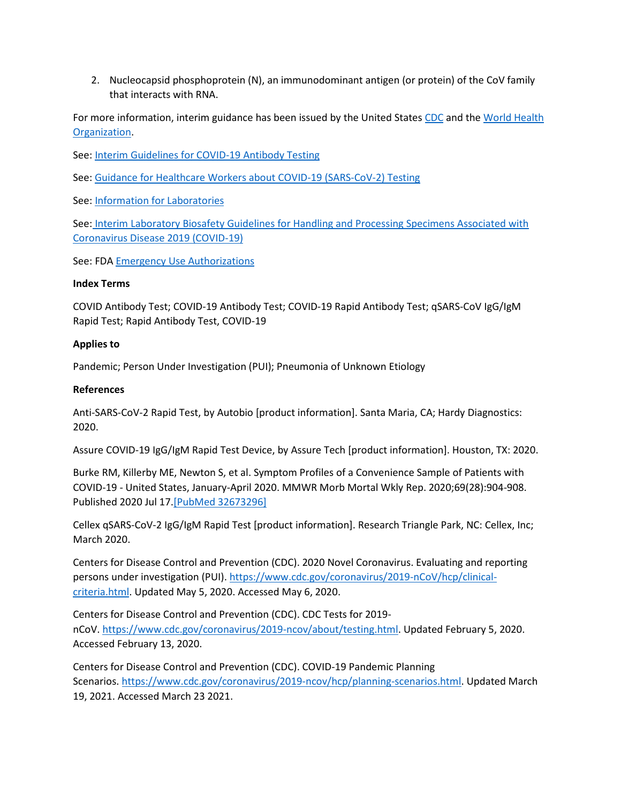2. Nucleocapsid phosphoprotein (N), an immunodominant antigen (or protein) of the CoV family that interacts with RNA.

For more information, interim guidance has been issued by the United States [CDC](https://www.cdc.gov/coronavirus/2019-ncov/index.html) and the [World Health](https://www.who.int/emergencies/diseases/novel-coronavirus-2019)  [Organization.](https://www.who.int/emergencies/diseases/novel-coronavirus-2019)

See: [Interim Guidelines for COVID-19 Antibody Testing](https://www.cdc.gov/coronavirus/2019-ncov/lab/resources/antibody-tests-guidelines.html)

See: [Guidance for Healthcare Workers about COVID-19 \(SARS-CoV-2\) Testing](https://www.cdc.gov/coronavirus/2019-ncov/hcp/testing.html)

See: [Information for Laboratories](https://www.cdc.gov/coronavirus/2019-ncov/lab/index.html?CDC_AA_refVal=https%3A%2F%2Fwww.cdc.gov%2Fcoronavirus%2F2019-ncov%2Fguidance-laboratories.html)

See: [Interim Laboratory Biosafety Guidelines for Handling and Processing Specimens Associated with](https://www.cdc.gov/coronavirus/2019-ncov/lab/lab-biosafety-guidelines.html?CDC_AA_refVal=https%3A%2F%2Fwww.cdc.gov%2Fcoronavirus%2F2019-ncov%2Flab-biosafety-guidelines.html)  [Coronavirus Disease 2019 \(COVID-19\)](https://www.cdc.gov/coronavirus/2019-ncov/lab/lab-biosafety-guidelines.html?CDC_AA_refVal=https%3A%2F%2Fwww.cdc.gov%2Fcoronavirus%2F2019-ncov%2Flab-biosafety-guidelines.html)

See: FDA [Emergency Use Authorizations](https://www.fda.gov/emergency-preparedness-and-response/mcm-legal-regulatory-and-policy-framework/emergency-use-authorization)

## **Index Terms**

COVID Antibody Test; COVID-19 Antibody Test; COVID-19 Rapid Antibody Test; qSARS-CoV IgG/IgM Rapid Test; Rapid Antibody Test, COVID-19

# **Applies to**

Pandemic; Person Under Investigation (PUI); Pneumonia of Unknown Etiology

# **References**

Anti-SARS-CoV-2 Rapid Test, by Autobio [product information]. Santa Maria, CA; Hardy Diagnostics: 2020.

Assure COVID-19 IgG/IgM Rapid Test Device, by Assure Tech [product information]. Houston, TX: 2020.

Burke RM, Killerby ME, Newton S, et al. Symptom Profiles of a Convenience Sample of Patients with COVID-19 - United States, January-April 2020. MMWR Morb Mortal Wkly Rep. 2020;69(28):904-908. Published 2020 Jul 17[.\[PubMed 32673296\]](https://www.ncbi.nlm.nih.gov/entrez/query.fcgi?cmd=Retrieve&db=pubmed&dopt=Abstract&list_uids=32673296)

Cellex qSARS-CoV-2 IgG/IgM Rapid Test [product information]. Research Triangle Park, NC: Cellex, Inc; March 2020.

Centers for Disease Control and Prevention (CDC). 2020 Novel Coronavirus. Evaluating and reporting persons under investigation (PUI). [https://www.cdc.gov/coronavirus/2019-nCoV/hcp/clinical](https://www.cdc.gov/coronavirus/2019-nCoV/hcp/clinical-criteria.html)[criteria.html.](https://www.cdc.gov/coronavirus/2019-nCoV/hcp/clinical-criteria.html) Updated May 5, 2020. Accessed May 6, 2020.

Centers for Disease Control and Prevention (CDC). CDC Tests for 2019 nCoV. [https://www.cdc.gov/coronavirus/2019-ncov/about/testing.html.](https://www.cdc.gov/coronavirus/2019-ncov/about/testing.html) Updated February 5, 2020. Accessed February 13, 2020.

Centers for Disease Control and Prevention (CDC). COVID-19 Pandemic Planning Scenarios. [https://www.cdc.gov/coronavirus/2019-ncov/hcp/planning-scenarios.html.](https://www.cdc.gov/coronavirus/2019-ncov/hcp/planning-scenarios.html) Updated March 19, 2021. Accessed March 23 2021.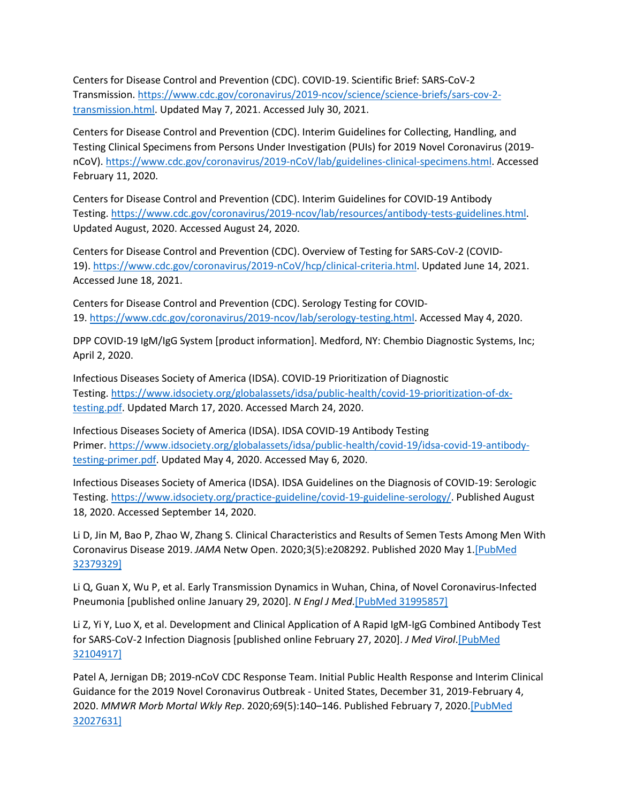Centers for Disease Control and Prevention (CDC). COVID-19. Scientific Brief: SARS-CoV-2 Transmission. [https://www.cdc.gov/coronavirus/2019-ncov/science/science-briefs/sars-cov-2](https://www.cdc.gov/coronavirus/2019-ncov/science/science-briefs/sars-cov-2-transmission.html) [transmission.html.](https://www.cdc.gov/coronavirus/2019-ncov/science/science-briefs/sars-cov-2-transmission.html) Updated May 7, 2021. Accessed July 30, 2021.

Centers for Disease Control and Prevention (CDC). Interim Guidelines for Collecting, Handling, and Testing Clinical Specimens from Persons Under Investigation (PUIs) for 2019 Novel Coronavirus (2019 nCoV). [https://www.cdc.gov/coronavirus/2019-nCoV/lab/guidelines-clinical-specimens.html.](https://www.cdc.gov/coronavirus/2019-nCoV/lab/guidelines-clinical-specimens.html) Accessed February 11, 2020.

Centers for Disease Control and Prevention (CDC). Interim Guidelines for COVID-19 Antibody Testing. [https://www.cdc.gov/coronavirus/2019-ncov/lab/resources/antibody-tests-guidelines.html.](https://www.cdc.gov/coronavirus/2019-ncov/lab/resources/antibody-tests-guidelines.html) Updated August, 2020. Accessed August 24, 2020.

Centers for Disease Control and Prevention (CDC). Overview of Testing for SARS-CoV-2 (COVID-19). [https://www.cdc.gov/coronavirus/2019-nCoV/hcp/clinical-criteria.html.](https://www.cdc.gov/coronavirus/2019-ncov/hcp/testing-overview.html) Updated June 14, 2021. Accessed June 18, 2021.

Centers for Disease Control and Prevention (CDC). Serology Testing for COVID-19. [https://www.cdc.gov/coronavirus/2019-ncov/lab/serology-testing.html.](https://www.cdc.gov/coronavirus/2019-ncov/lab/serology-testing.html) Accessed May 4, 2020.

DPP COVID-19 IgM/IgG System [product information]. Medford, NY: Chembio Diagnostic Systems, Inc; April 2, 2020.

Infectious Diseases Society of America (IDSA). COVID-19 Prioritization of Diagnostic Testing. [https://www.idsociety.org/globalassets/idsa/public-health/covid-19-prioritization-of-dx](https://www.idsociety.org/globalassets/idsa/public-health/covid-19-prioritization-of-dx-testing.pdf)[testing.pdf.](https://www.idsociety.org/globalassets/idsa/public-health/covid-19-prioritization-of-dx-testing.pdf) Updated March 17, 2020. Accessed March 24, 2020.

Infectious Diseases Society of America (IDSA). IDSA COVID-19 Antibody Testing Primer. [https://www.idsociety.org/globalassets/idsa/public-health/covid-19/idsa-covid-19-antibody](https://www.idsociety.org/globalassets/idsa/public-health/covid-19/idsa-covid-19-antibody-testing-primer.pdf)[testing-primer.pdf.](https://www.idsociety.org/globalassets/idsa/public-health/covid-19/idsa-covid-19-antibody-testing-primer.pdf) Updated May 4, 2020. Accessed May 6, 2020.

Infectious Diseases Society of America (IDSA). IDSA Guidelines on the Diagnosis of COVID-19: Serologic Testing. [https://www.idsociety.org/practice-guideline/covid-19-guideline-serology/.](https://www.idsociety.org/practice-guideline/covid-19-guideline-serology/) Published August 18, 2020. Accessed September 14, 2020.

Li D, Jin M, Bao P, Zhao W, Zhang S. Clinical Characteristics and Results of Semen Tests Among Men With Coronavirus Disease 2019. *JAMA* Netw Open. 2020;3(5):e208292. Published 2020 May 1[.\[PubMed](https://www.ncbi.nlm.nih.gov/entrez/query.fcgi?cmd=Retrieve&db=pubmed&dopt=Abstract&list_uids=32379329)  [32379329\]](https://www.ncbi.nlm.nih.gov/entrez/query.fcgi?cmd=Retrieve&db=pubmed&dopt=Abstract&list_uids=32379329)

Li Q, Guan X, Wu P, et al. Early Transmission Dynamics in Wuhan, China, of Novel Coronavirus-Infected Pneumonia [published online January 29, 2020]. *N Engl J Med*[.\[PubMed 31995857\]](https://www.ncbi.nlm.nih.gov/entrez/query.fcgi?cmd=Retrieve&db=pubmed&dopt=Abstract&list_uids=31995857)

Li Z, Yi Y, Luo X, et al. Development and Clinical Application of A Rapid IgM-IgG Combined Antibody Test for SARS-CoV-2 Infection Diagnosis [published online February 27, 2020]. *J Med Virol*[.\[PubMed](https://www.ncbi.nlm.nih.gov/entrez/query.fcgi?cmd=Retrieve&db=pubmed&dopt=Abstract&list_uids=32104917)  [32104917\]](https://www.ncbi.nlm.nih.gov/entrez/query.fcgi?cmd=Retrieve&db=pubmed&dopt=Abstract&list_uids=32104917)

Patel A, Jernigan DB; 2019-nCoV CDC Response Team. Initial Public Health Response and Interim Clinical Guidance for the 2019 Novel Coronavirus Outbreak - United States, December 31, 2019-February 4, 2020. *MMWR Morb Mortal Wkly Rep*. 2020;69(5):140–146. Published February 7, 2020[.\[PubMed](https://www.ncbi.nlm.nih.gov/entrez/query.fcgi?cmd=Retrieve&db=pubmed&dopt=Abstract&list_uids=32027631)  [32027631\]](https://www.ncbi.nlm.nih.gov/entrez/query.fcgi?cmd=Retrieve&db=pubmed&dopt=Abstract&list_uids=32027631)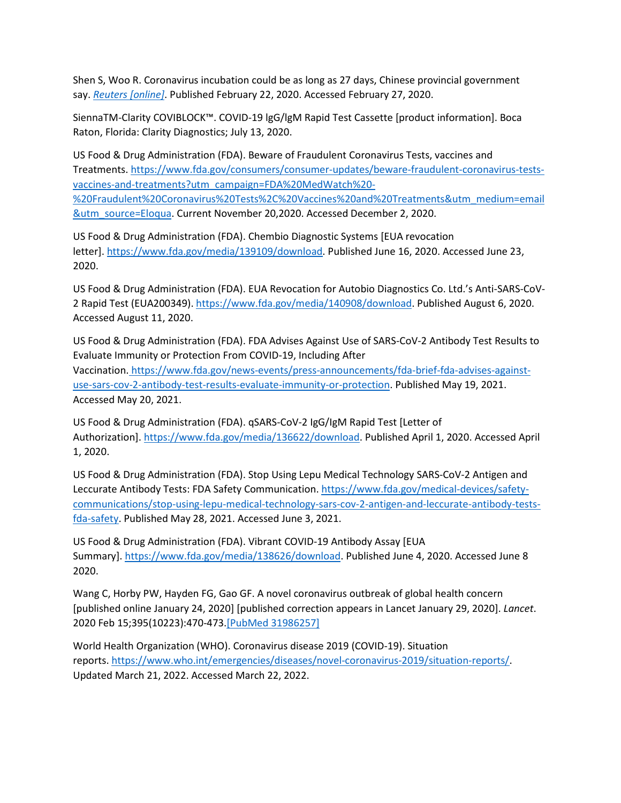Shen S, Woo R. Coronavirus incubation could be as long as 27 days, Chinese provincial government say. *Reuters [\[online\]](https://www.reuters.com/article/us-china-health-incubation/coronavirus-incubation-could-be-as-long-as-27-days-chinese-provincial-government-says-idUSKCN20G06W)*. Published February 22, 2020. Accessed February 27, 2020.

SiennaTM-Clarity COVIBLOCK™. COVID-19 lgG/lgM Rapid Test Cassette [product information]. Boca Raton, Florida: Clarity Diagnostics; July 13, 2020.

US Food & Drug Administration (FDA). Beware of Fraudulent Coronavirus Tests, vaccines and Treatments. [https://www.fda.gov/consumers/consumer-updates/beware-fraudulent-coronavirus-tests](https://www.fda.gov/consumers/consumer-updates/beware-fraudulent-coronavirus-tests-vaccines-and-treatments?utm_campaign=FDA%20MedWatch%20-%20Fraudulent%20Coronavirus%20Tests%2C%20Vaccines%20and%20Treatments&utm_medium=email&utm_source=Eloqua)[vaccines-and-treatments?utm\\_campaign=FDA%20MedWatch%20-](https://www.fda.gov/consumers/consumer-updates/beware-fraudulent-coronavirus-tests-vaccines-and-treatments?utm_campaign=FDA%20MedWatch%20-%20Fraudulent%20Coronavirus%20Tests%2C%20Vaccines%20and%20Treatments&utm_medium=email&utm_source=Eloqua) [%20Fraudulent%20Coronavirus%20Tests%2C%20Vaccines%20and%20Treatments&utm\\_medium=email](https://www.fda.gov/consumers/consumer-updates/beware-fraudulent-coronavirus-tests-vaccines-and-treatments?utm_campaign=FDA%20MedWatch%20-%20Fraudulent%20Coronavirus%20Tests%2C%20Vaccines%20and%20Treatments&utm_medium=email&utm_source=Eloqua) [&utm\\_source=Eloqua.](https://www.fda.gov/consumers/consumer-updates/beware-fraudulent-coronavirus-tests-vaccines-and-treatments?utm_campaign=FDA%20MedWatch%20-%20Fraudulent%20Coronavirus%20Tests%2C%20Vaccines%20and%20Treatments&utm_medium=email&utm_source=Eloqua) Current November 20,2020. Accessed December 2, 2020.

US Food & Drug Administration (FDA). Chembio Diagnostic Systems [EUA revocation letter]. [https://www.fda.gov/media/139109/download.](https://www.fda.gov/media/139109/download) Published June 16, 2020. Accessed June 23, 2020.

US Food & Drug Administration (FDA). EUA Revocation for Autobio Diagnostics Co. Ltd.'s Anti-SARS-CoV-2 Rapid Test (EUA200349). [https://www.fda.gov/media/140908/download.](https://www.fda.gov/media/140908/download) Published August 6, 2020. Accessed August 11, 2020.

US Food & Drug Administration (FDA). FDA Advises Against Use of SARS-CoV-2 Antibody Test Results to Evaluate Immunity or Protection From COVID-19, Including After Vaccination. [https://www.fda.gov/news-events/press-announcements/fda-brief-fda-advises-against](https://www.fda.gov/news-events/press-announcements/fda-brief-fda-advises-against-use-sars-cov-2-antibody-test-results-evaluate-immunity-or-protection)[use-sars-cov-2-antibody-test-results-evaluate-immunity-or-protection.](https://www.fda.gov/news-events/press-announcements/fda-brief-fda-advises-against-use-sars-cov-2-antibody-test-results-evaluate-immunity-or-protection) Published May 19, 2021. Accessed May 20, 2021.

US Food & Drug Administration (FDA). qSARS-CoV-2 IgG/IgM Rapid Test [Letter of Authorization]. [https://www.fda.gov/media/136622/download.](https://www.fda.gov/media/136622/download) Published April 1, 2020. Accessed April 1, 2020.

US Food & Drug Administration (FDA). Stop Using Lepu Medical Technology SARS-CoV-2 Antigen and Leccurate Antibody Tests: FDA Safety Communication. [https://www.fda.gov/medical-devices/safety](https://www.fda.gov/medical-devices/safety-communications/stop-using-lepu-medical-technology-sars-cov-2-antigen-and-leccurate-antibody-tests-fda-safety)[communications/stop-using-lepu-medical-technology-sars-cov-2-antigen-and-leccurate-antibody-tests](https://www.fda.gov/medical-devices/safety-communications/stop-using-lepu-medical-technology-sars-cov-2-antigen-and-leccurate-antibody-tests-fda-safety)[fda-safety.](https://www.fda.gov/medical-devices/safety-communications/stop-using-lepu-medical-technology-sars-cov-2-antigen-and-leccurate-antibody-tests-fda-safety) Published May 28, 2021. Accessed June 3, 2021.

US Food & Drug Administration (FDA). Vibrant COVID-19 Antibody Assay [EUA Summary]. [https://www.fda.gov/media/138626/download.](https://www.fda.gov/media/138626/download) Published June 4, 2020. Accessed June 8 2020.

Wang C, Horby PW, Hayden FG, Gao GF. A novel coronavirus outbreak of global health concern [published online January 24, 2020] [published correction appears in Lancet January 29, 2020]. *Lancet*. 2020 Feb 15;395(10223):470-473[.\[PubMed 31986257\]](https://www.ncbi.nlm.nih.gov/entrez/query.fcgi?cmd=Retrieve&db=pubmed&dopt=Abstract&list_uids=31986257)

World Health Organization (WHO). Coronavirus disease 2019 (COVID-19). Situation reports. [https://www.who.int/emergencies/diseases/novel-coronavirus-2019/situation-reports/.](https://www.who.int/emergencies/diseases/novel-coronavirus-2019/situation-reports/) Updated March 21, 2022. Accessed March 22, 2022.